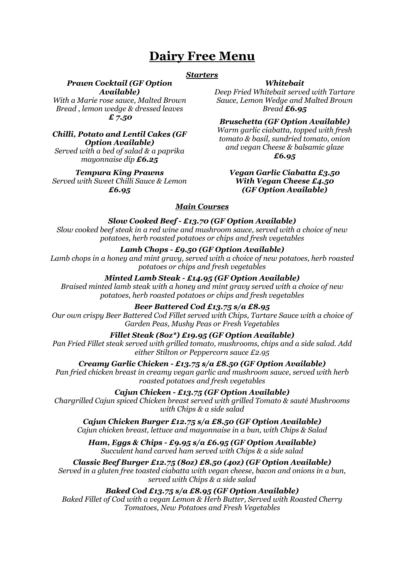# **Dairy Free Menu**

### *Starters*

## *Prawn Cocktail (GF Option*

*Available) With a Marie rose sauce, Malted Brown Bread , lemon wedge & dressed leaves £ 7.50*

## *Chilli, Potato and Lentil Cakes (GF Option Available)*

*Served with a bed of salad & a paprika mayonnaise dip £6.25*

#### *Tempura King Prawns*

*Served with Sweet Chilli Sauce & Lemon £6.95*

## *Whitebait*

*Deep Fried Whitebait served with Tartare Sauce, Lemon Wedge and Malted Brown Bread £6.95*

*Bruschetta (GF Option Available) Warm garlic ciabatta, topped with fresh tomato & basil, sundried tomato, onion and vegan Cheese & balsamic glaze £6.95*

#### *Vegan Garlic Ciabatta £3.50 With Vegan Cheese £4.50 (GF Option Available)*

## *Main Courses*

## *Slow Cooked Beef - £13.70 (GF Option Available)*

*Slow cooked beef steak in a red wine and mushroom sauce, served with a choice of new potatoes, herb roasted potatoes or chips and fresh vegetables* 

## *Lamb Chops - £9.50 (GF Option Available)*

*Lamb chops in a honey and mint gravy, served with a choice of new potatoes, herb roasted potatoes or chips and fresh vegetables*

## *Minted Lamb Steak - £14.95 (GF Option Available)*

*Braised minted lamb steak with a honey and mint gravy served with a choice of new potatoes, herb roasted potatoes or chips and fresh vegetables*

## *Beer Battered Cod £13.75 s/a £8.95*

*Our own crispy Beer Battered Cod Fillet served with Chips, Tartare Sauce with a choice of Garden Peas, Mushy Peas or Fresh Vegetables*

## *Fillet Steak (8oz\*) £19.95 (GF Option Available)*

*Pan Fried Fillet steak served with grilled tomato, mushrooms, chips and a side salad. Add either Stilton or Peppercorn sauce £2.95*

*Creamy Garlic Chicken - £13.75 s/a £8.50 (GF Option Available)*

*Pan fried chicken breast in creamy vegan garlic and mushroom sauce, served with herb roasted potatoes and fresh vegetables* 

## *Cajun Chicken - £13.75 (GF Option Available)*

*Chargrilled Cajun spiced Chicken breast served with grilled Tomato & sauté Mushrooms with Chips & a side salad* 

*Cajun Chicken Burger £12.75 s/a £8.50 (GF Option Available) Cajun chicken breast, lettuce and mayonnaise in a bun, with Chips & Salad*

*Ham, Eggs & Chips - £9.95 s/a £6.95 (GF Option Available) Succulent hand carved ham served with Chips & a side salad*

*Classic Beef Burger £12.75 (8oz) £8.50 (4oz) (GF Option Available) Served in a gluten free toasted ciabatta with vegan cheese, bacon and onions in a bun,* 

*served with Chips & a side salad*

## *Baked Cod £13.75 s/a £8.95 (GF Option Available)*

*Baked Fillet of Cod with a vegan Lemon & Herb Butter, Served with Roasted Cherry Tomatoes, New Potatoes and Fresh Vegetables*